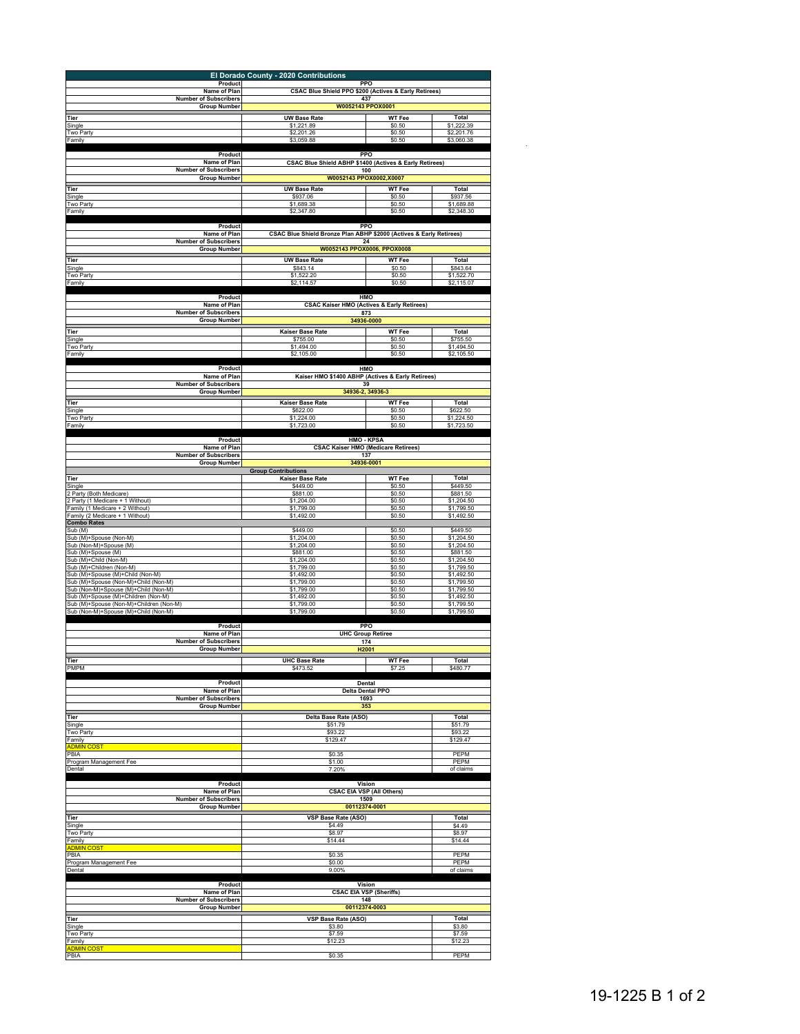|                                                                                | El Dorado County - 2020 Contributions                               |                                                              |                          |  |  |
|--------------------------------------------------------------------------------|---------------------------------------------------------------------|--------------------------------------------------------------|--------------------------|--|--|
| Product<br>Name of Plan                                                        |                                                                     | PPO                                                          |                          |  |  |
| <b>Number of Subscribers</b>                                                   |                                                                     | CSAC Blue Shield PPO \$200 (Actives & Early Retirees)<br>437 |                          |  |  |
| <b>Group Number</b>                                                            |                                                                     | W0052143 PPOX0001                                            |                          |  |  |
| Tier<br>Single                                                                 | <b>UW Base Rate</b><br>\$1,221.89                                   | <b>WT Fee</b><br>\$0.50                                      | Total<br>\$1,222.39      |  |  |
| Two Party<br>Family                                                            | \$2,201.26<br>\$3,059.88                                            | \$0.50<br>\$0.50                                             | \$2,201.76<br>\$3,060.38 |  |  |
|                                                                                |                                                                     |                                                              |                          |  |  |
| Product<br>Name of Plan                                                        | CSAC Blue Shield ABHP \$1400 (Actives & Early Retirees)             | PPO                                                          |                          |  |  |
| <b>Number of Subscribers</b>                                                   |                                                                     | 100                                                          |                          |  |  |
| <b>Group Number</b><br>Tier                                                    | <b>UW Base Rate</b>                                                 | W0052143 PPOX0002,X0007<br><b>WT Fee</b>                     | Total                    |  |  |
| Single                                                                         | \$937.06                                                            | \$0.50                                                       | \$937.56                 |  |  |
| Two Party<br>Family                                                            | \$1,689.38<br>\$2,347.80                                            | \$0.50<br>\$0.50                                             | \$1,689.88<br>\$2,348.30 |  |  |
|                                                                                |                                                                     |                                                              |                          |  |  |
| Product<br>Name of Plan                                                        | CSAC Blue Shield Bronze Plan ABHP \$2000 (Actives & Early Retirees) | PPO                                                          |                          |  |  |
| <b>Number of Subscribers</b><br><b>Group Number</b>                            |                                                                     | 24<br>W0052143 PPOX0006, PPOX0008                            |                          |  |  |
| Tier                                                                           | <b>UW Base Rate</b>                                                 | <b>WT Fee</b>                                                | Total                    |  |  |
| Single                                                                         | \$843.14                                                            | \$0.50                                                       | \$843.64                 |  |  |
| Two Party<br>Family                                                            | \$1,522.20<br>\$2,114.57                                            | \$0.50<br>\$0.50                                             | \$1,522.70<br>\$2,115.07 |  |  |
| Product                                                                        |                                                                     | HMO                                                          |                          |  |  |
| Name of Plan                                                                   |                                                                     | <b>CSAC Kaiser HMO (Actives &amp; Early Retirees)</b>        |                          |  |  |
| <b>Number of Subscribers</b><br><b>Group Number</b>                            |                                                                     | 873<br>34936-0000                                            |                          |  |  |
| Tier                                                                           | Kaiser Base Rate                                                    | <b>WT Fee</b>                                                | Total                    |  |  |
| Single                                                                         | \$755.00                                                            | \$0.50                                                       | \$755.50                 |  |  |
| Two Party<br>Family                                                            | \$1,494.00<br>\$2,105.00                                            | \$0.50<br>\$0.50                                             | \$1,494.50<br>\$2,105.50 |  |  |
| Product                                                                        |                                                                     | HMO                                                          |                          |  |  |
| Name of Plan                                                                   |                                                                     | Kaiser HMO \$1400 ABHP (Actives & Early Retirees)            |                          |  |  |
| <b>Number of Subscribers</b><br><b>Group Number</b>                            |                                                                     | 39<br>34936-2, 34936-3                                       |                          |  |  |
| Tier                                                                           | Kaiser Base Rate                                                    | <b>WT Fee</b>                                                | Total                    |  |  |
| Single                                                                         | \$622.00                                                            | \$0.50                                                       | \$622.50                 |  |  |
| Two Party<br>Family                                                            | \$1,224.00<br>\$1,723.00                                            | \$0.50<br>\$0.50                                             | \$1,224.50<br>\$1,723.50 |  |  |
| Product                                                                        |                                                                     | <b>HMO - KPSA</b>                                            |                          |  |  |
| Name of Plan                                                                   |                                                                     | <b>CSAC Kaiser HMO (Medicare Retirees)</b>                   |                          |  |  |
| <b>Number of Subscribers</b><br><b>Group Number</b>                            |                                                                     | 137<br>34936-0001                                            |                          |  |  |
|                                                                                | <b>Group Contributions</b>                                          |                                                              |                          |  |  |
| Tier<br>Single                                                                 | Kaiser Base Rate<br>\$449.00                                        | <b>WT Fee</b><br>\$0.50                                      | Total<br>\$449.50        |  |  |
| 2 Party (Both Medicare)                                                        | \$881.00                                                            | \$0.50                                                       | \$881.50                 |  |  |
| 2 Party (1 Medicare + 1 Without)<br>Family (1 Medicare + 2 Without)            | \$1,204.00<br>\$1,799.00                                            | \$0.50<br>\$0.50                                             | \$1,204.50<br>\$1,799.50 |  |  |
| Family (2 Medicare + 1 Without)<br><b>Combo Rates</b>                          | \$1,492.00                                                          | \$0.50                                                       | \$1,492.50               |  |  |
| Sub (M)                                                                        | \$449.00                                                            | \$0.50                                                       | \$449.50                 |  |  |
| Sub (M)+Spouse (Non-M)<br>Sub (Non-M)+Spouse (M)                               | \$1,204.00<br>\$1,204.00                                            | \$0.50<br>\$0.50                                             | \$1,204.50<br>\$1,204.50 |  |  |
| Sub (M)+Spouse (M)                                                             | \$881.00                                                            | \$0.50                                                       | \$881.50                 |  |  |
| Sub (M)+Child (Non-M)<br>Sub (M)+Children (Non-M)                              | \$1,204.00<br>\$1,799.00                                            | \$0.50<br>\$0.50                                             | \$1,204.50<br>\$1,799.50 |  |  |
| Sub (M)+Spouse (M)+Child (Non-M)<br>Sub (M)+Spouse (Non-M)+Child (Non-M)       | \$1,492.00<br>\$1,799.00                                            | \$0.50<br>\$0.50                                             | \$1,492.50<br>\$1,799.50 |  |  |
| Sub (Non-M)+Spouse (M)+Child (Non-M)                                           | \$1,799.00                                                          | \$0.50                                                       | \$1,799.50               |  |  |
| Sub (M)+Spouse (M)+Children (Non-M)<br>Sub (M)+Spouse (Non-M)+Children (Non-M) | \$1,492.00<br>\$1,799.00                                            | \$0.50<br>\$0.50                                             | \$1,492.50<br>\$1,799.50 |  |  |
| Sub (Non-M)+Spouse (M)+Child (Non-M)                                           | \$1,799.00                                                          | \$0.50                                                       | \$1,799.50               |  |  |
| Product                                                                        |                                                                     | PPO                                                          |                          |  |  |
| Name of Plan<br><b>Number of Subscribers</b>                                   |                                                                     | <b>UHC Group Retiree</b><br>174                              |                          |  |  |
| <b>Group Number</b>                                                            |                                                                     | H <sub>2001</sub>                                            |                          |  |  |
| Tier                                                                           | <b>UHC Base Rate</b>                                                | <b>WT Fee</b>                                                | Total                    |  |  |
| <b>PMPM</b>                                                                    | \$473.52                                                            | \$7.25                                                       | \$480.77                 |  |  |
| Product                                                                        |                                                                     | Dental                                                       |                          |  |  |
| Name of Plan<br><b>Number of Subscribers</b>                                   |                                                                     | <b>Delta Dental PPO</b><br>1693                              |                          |  |  |
| <b>Group Number</b>                                                            |                                                                     | 353                                                          |                          |  |  |
| Tier<br>Single                                                                 | Delta Base Rate (ASO)<br>\$51.79                                    |                                                              | Total<br>\$51.79         |  |  |
| Two Party                                                                      | \$93.22                                                             | \$93.22                                                      |                          |  |  |
| Family<br><b>ADMIN COS</b>                                                     | \$129.47                                                            |                                                              | \$129.47                 |  |  |
| PBIA<br>Program Management Fee                                                 | \$0.35<br>\$1.00                                                    |                                                              | PEPM<br>PEPM             |  |  |
| Dental                                                                         | 7.20%                                                               |                                                              | of claims                |  |  |
| Product                                                                        |                                                                     | Vision                                                       |                          |  |  |
| Name of Plan                                                                   |                                                                     | <b>CSAC EIA VSP (All Others)</b>                             |                          |  |  |
| <b>Number of Subscribers</b><br><b>Group Number</b>                            |                                                                     | 1509<br>00112374-0001                                        |                          |  |  |
| Tier                                                                           | VSP Base Rate (ASO)                                                 |                                                              | Total                    |  |  |
| Single                                                                         | \$4.49<br>\$8.97                                                    |                                                              | \$4.49<br>\$8.97         |  |  |
| Two Party<br>Family                                                            | \$14.44                                                             |                                                              | \$14.44                  |  |  |
| <b>ADMIN</b><br>PBIA                                                           | \$0.35                                                              |                                                              | PEPM                     |  |  |
| Program Management Fee                                                         | \$0.00                                                              |                                                              | PEPM                     |  |  |
| Dental                                                                         | 9.00%                                                               |                                                              | of claims                |  |  |
| Product                                                                        |                                                                     | Vision<br><b>CSAC EIA VSP (Sheriffs)</b>                     |                          |  |  |
| Name of Plan<br><b>Number of Subscribers</b>                                   |                                                                     | 148                                                          |                          |  |  |
| <b>Group Number</b>                                                            |                                                                     | 00112374-0003                                                |                          |  |  |
| Tier<br>Single                                                                 | VSP Base Rate (ASO)<br>\$3.80                                       |                                                              | Total<br>\$3.80          |  |  |
| Two Party                                                                      | \$7.59                                                              |                                                              |                          |  |  |
| Family<br><b>ADMIN COST</b>                                                    |                                                                     | \$12.23                                                      |                          |  |  |
| PBIA                                                                           | \$0.35                                                              |                                                              | PEPM                     |  |  |